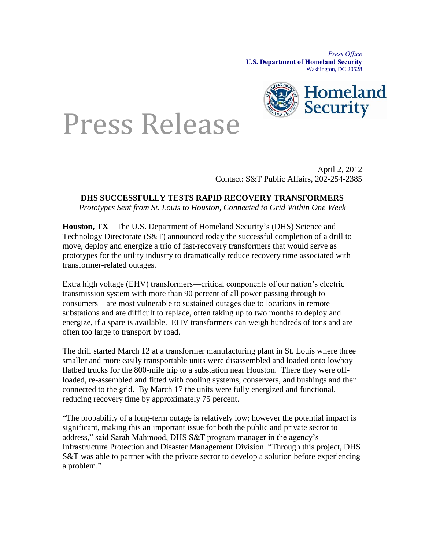*Press Office* **U.S. Department of Homeland Security** Washington, DC 20528



## Press Release

April 2, 2012 Contact: S&T Public Affairs, 202-254-2385

## **DHS SUCCESSFULLY TESTS RAPID RECOVERY TRANSFORMERS**

*Prototypes Sent from St. Louis to Houston, Connected to Grid Within One Week*

**Houston, TX** – The U.S. Department of Homeland Security's (DHS) Science and Technology Directorate (S&T) announced today the successful completion of a drill to move, deploy and energize a trio of fast-recovery transformers that would serve as prototypes for the utility industry to dramatically reduce recovery time associated with transformer-related outages.

Extra high voltage (EHV) transformers—critical components of our nation's electric transmission system with more than 90 percent of all power passing through to consumers—are most vulnerable to sustained outages due to locations in remote substations and are difficult to replace, often taking up to two months to deploy and energize, if a spare is available. EHV transformers can weigh hundreds of tons and are often too large to transport by road.

The drill started March 12 at a transformer manufacturing plant in St. Louis where three smaller and more easily transportable units were disassembled and loaded onto lowboy flatbed trucks for the 800-mile trip to a substation near Houston. There they were offloaded, re-assembled and fitted with cooling systems, conservers, and bushings and then connected to the grid. By March 17 the units were fully energized and functional, reducing recovery time by approximately 75 percent.

"The probability of a long-term outage is relatively low; however the potential impact is significant, making this an important issue for both the public and private sector to address," said Sarah Mahmood, DHS S&T program manager in the agency's Infrastructure Protection and Disaster Management Division. "Through this project, DHS S&T was able to partner with the private sector to develop a solution before experiencing a problem."